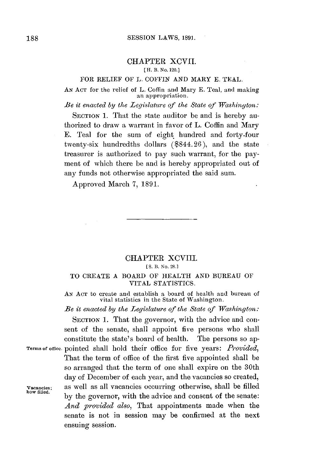### CHAPTER XCVII.

## [ **H.** B. *No.* **120.]**

## FOR RELIEF OF L. **COFFIN AND** MARY **E. TEAL.**

**AN ACT** for the relief of L. Coffin and Mary **E.** Teal, and making **an** appropriation.

*Be it enacted by the Legislature of the State of Washington:*

SECTION 1. That the state auditor be and is hereby authorized to draw a warrant in favor of L. Coffin and Mary **E.** Teal for the sum of eight hundred and forty-four twenty-six hundredths dollars (\$844.26), and the state treasurer is authorized to pay such warrant, for the payment of which there be and is hereby appropriated out of any funds not otherwise appropriated the said sum.

Approved March **7, 1891.**

# **CHAPTER** XCVII.

**[ S. B.** No. 28.1

## TO CREATE **A** BOARD OF HEALTH **AND BUREAU** OF VITAL STATISTICS.

**AN ACT** to create and establish a board of health and burean of vital statistics in the State of Washington.

Be *it enacted* **by** the Legislature of the State **of** Washington:

SECTION 1. That the governor, with the advice and consent of the senate, shall appoint five persons who shall constitute the state's board of health. The persons so ap-**Terms of** ofice. pointed shall hold their office for five years: *Provided,* That the term of office of the first five appointed shall **be** so arranged that the term of one shall expire on the 30th day of December of each year, and the vacancies so created, **Vacancies;** as well as all vacancies occurring otherwise, shall be filled **how filled,** le **by** the governor, with the advice and consent of the senate: *And provided also,* That appointments made when the senate is not in session may be confirmed at the next ensuing session.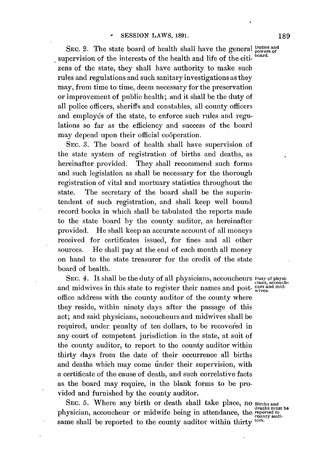SEC. 2. The state board of health shall have the general  $\frac{u_{\text{t}}}{v_{\text{over}}}$  and  $\frac{u_{\text{t}}}{v_{\text{over}}}$  and  $\frac{u_{\text{t}}}{v_{\text{over}}}$  board. supervision of the interests of the health and life of the citizens of the state, they shall have authority to make such rules and regulations and such sanitary investigations as they may, from time to time, deem necessary for the preservation or improvement of public health; and it shall be the duty of all police officers, sheriffs and constables, all county officers and employés of the state, to enforce such rules and regulations so far as the efficiency and success of the board may depend upon their official cooperation.

**SEC. 3.** The board of health shall have supervision of the state system of registration of births and deaths, as hereinafter provided. They shall recommend such forms and such legislation as shall be necessary for the thorough registration of vital and mortuary statistics throughout the state. The secretary of the board shall be the superintendent of such registration, and shall keep well bound record books in which shall **be** tabulated the reports made to the state board **by** the county auditor, as hereinafter provided. He shall keep an accurate account of **all** moneys received for certificates issued, for fines and all other sources. He shall pay at the end of each month all money on hand to the state treasurer for the credit of the state board of health.

SEC. 4. It shall be the duty of all physicians, accoucheurs  $\frac{D_{\text{tity of physical}}}{D_{\text{class, according to the}}}$ and midwives in this state to register their names and post- wives. office address with the county auditor of the county where they reside, within ninety days after the passage of this act; and said physicians, accoucheurs and midwives shall be required, under penalty of ten dollars, to be recovered in any court of competent jurisdiction in the state, at suit of the county auditor, to report to the county auditor within thirty days from the date of their occurrence all births and deaths which may come under their supervision, with a certificate of the cause of death, and such correlative facts as the board may require, in the blank forms to be provided and furnished **by** the county auditor.

**SEC. 5.** Where any birth or death shall take place, no **Births and deaths must be** physician, accoucheur or midwife being in attendance, the reported to same shall **be** reported to the county auditor within thirty **tors.**

**189**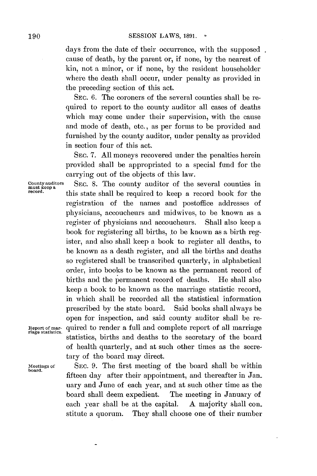days from the date of their occurrence, with the supposed. cause of death, **by** the parent or, if none, **by** the nearest of kin, not a minor, or if none, **by** the resident householder where the death shall occur, under penalty as provided in the preceding section of this act.

SEC. **6.** The coroners of the several counties shall be required to report to the county auditor all cases of deaths which may come under their supervision, with the cause and mode of death, etc., as per forms to be provided and furnished **by** the county auditor, under penalty as provided in section four of this act.

**SEC. 7. All** moneys recovered under the penalties herein provided shall be appropriated to a special fund for the carrying out of the objects of this law.

County auditors **SEC. 8. The county auditor of the several counties in** must keep a record.<br>
this state shall be required to keep a record book for the registration of the names and postoffice addresses of physicians, accoucheurs and midwives, to be known as a register of physicians and accoucheurs. Shall also keep a book for registering all births, to be known as a birth register, and also shall keep a book to register all deaths, to be known as a death register, and all the births and deaths so registered shall be transcribed quarterly, in alphabetical order, into books to be known as the permanent record of births and the permanent record of deaths. He shall also keep a book to be known as the marriage statistic record, in which shall be recorded all the statistical information prescribed **by** the state board. Said books shall always be open for inspection, and said county auditor shall be re-Report of mar- quired to render a full and complete report of all marriage riage statistics. statistics, births and deaths to the secretary of the board of health quarterly, and at such other times as the secretary of the board may direct.

board.

Meetings of **SEC. 9.** The first meeting of the board shall **be** within fifteen day after their appointment, and thereafter in Jan nary and June of each year, and at such other time as the board shall deem expedient. The meeting in January of each year shall be at the capital. **A** majority shall constitute a quorum. They shall choose one of their number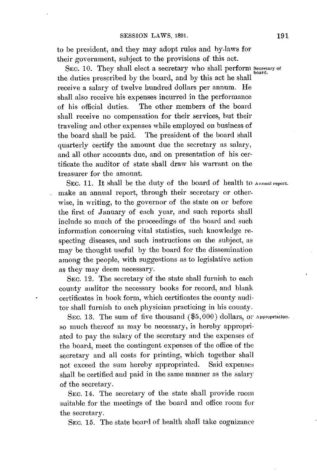to be president, and they may adopt rules and by-laws for their government, subject to the provisions of this act.

SEC. 10. They shall elect a secretary who shall perform Secretary of the duties prescribed **by** the board, and **by** this act he shall receive a salary of twelve hundred dollars per annum. He shall also receive his expenses incurred in the performance of his official duties. The other members of the board shall receive no compensation for their services, but their traveling and other expenses while employed on business of the board shall be paid. The president of the board shall quarterly certify the amount due the secretary as salary, and all other accounts due, and on presentation of his certificate the auditor of state shall draw his warrant on the treasurer for the amount.

SEC. 11. It shall be the duty of the board of health to Annual report. make an annual report, through their secretary or otherwise, in writing, to the governor of the state on or before the first of January of each year, and such reports shall include so much of the proceedings of the board and such information concerning vital statistics, such knowledge respecting diseases, and such instructions on the subject, as may be thought useful **by** the board for the dissemination among the people, with suggestions as to legislative action as they may deem necessary.

**SEC.** 12. The secretary **of** the state shall furnish to each county auditor the necessary books for record, and blank certificates in book form, which certificates the county auditor shall furnish to each physician practicing in his county.

SEC. 13. The sum of five thousand  $(\$5,000)$  dollars, or Appropriation. so much thereof as may be necessary, is hereby appropriated to pay the salary **of** the secretary and the expenses of the board, meet the contingent expenses of the office of the secretary and all costs for printing, which together shall not exceed the sum hereby appropriated. Said expenses shall be certified and paid in the same manner as the salary of the secretary.

**SEC.** 14. The secretary of the state shall provide room suitable for the meetings of the board and office room for the secretary.

**SEC. 15.** The state board of health shall take cognizance